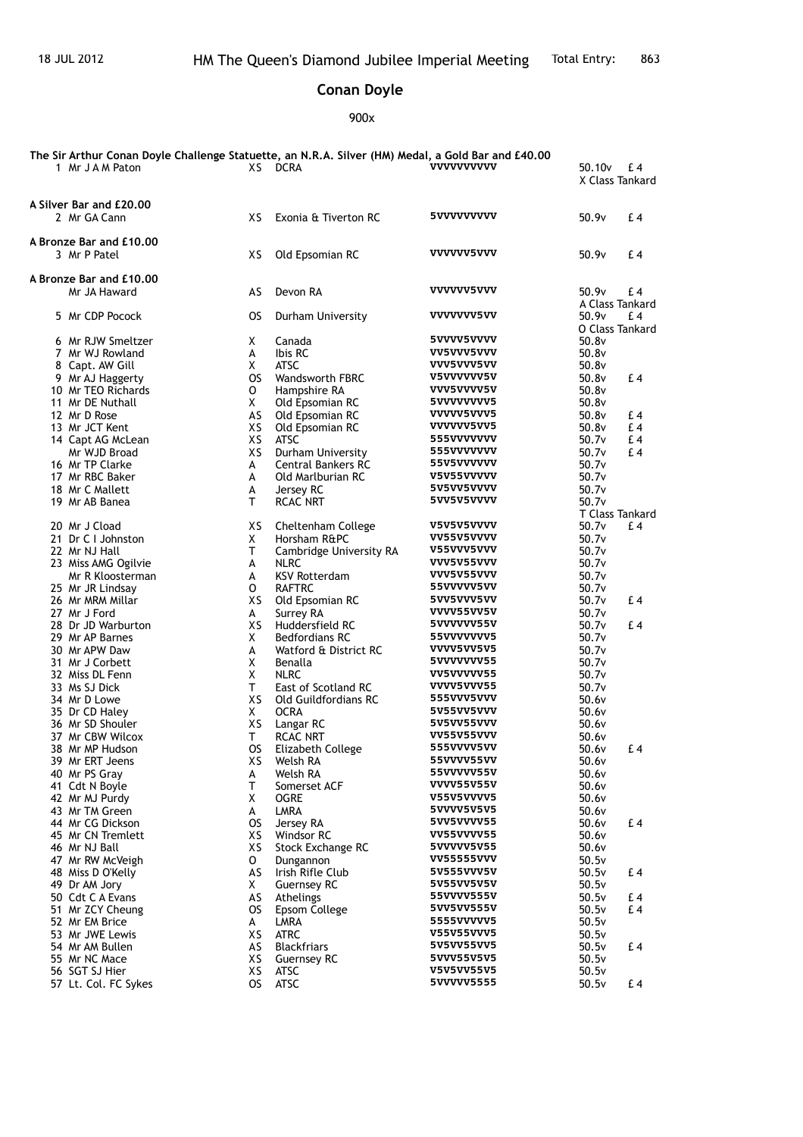## **Conan Doyle**

900x

| The Sir Arthur Conan Doyle Challenge Statuette, an N.R.A. Silver (HM) Medal, a Gold Bar and £40.00<br>1 Mr J A M Paton |           | XS DCRA                                        | <b>VVVVVVVVVV</b>               | 50.10 <sub>v</sub> | £4<br>X Class Tankard  |
|------------------------------------------------------------------------------------------------------------------------|-----------|------------------------------------------------|---------------------------------|--------------------|------------------------|
| A Silver Bar and £20,00<br>2 Mr GA Cann                                                                                | XS        | Exonia & Tiverton RC                           | 5VVVVVVVVV                      | 50.9v              | £ 4                    |
|                                                                                                                        |           |                                                |                                 |                    |                        |
| A Bronze Bar and £10,00<br>3 Mr P Patel                                                                                | XS        | Old Epsomian RC                                | <b>VVVVVV5VVV</b>               | 50.9v              | £4                     |
| A Bronze Bar and £10.00                                                                                                |           |                                                |                                 |                    |                        |
| Mr JA Haward                                                                                                           | AS        | Devon RA                                       | <b>VVVVVV5VVV</b>               | 50.9v              | £ 4                    |
|                                                                                                                        |           |                                                |                                 |                    | A Class Tankard        |
| 5 Mr CDP Pocock                                                                                                        | OS.       | Durham University                              | <b>VVVVVVV5VV</b>               | 50.9v              | £ 4<br>O Class Tankard |
| 6 Mr RJW Smeltzer                                                                                                      | X.        | Canada                                         | 5VVVV5VVVV                      | 50.8v              |                        |
| 7 Mr WJ Rowland                                                                                                        | A         | Ibis RC                                        | <b>VV5VVV5VVV</b>               | 50.8v              |                        |
| 8 Capt. AW Gill                                                                                                        | X         | <b>ATSC</b>                                    | <b>VVV5VVV5VV</b>               | 50.8v              |                        |
| 9 Mr AJ Haggerty                                                                                                       | <b>OS</b> | <b>Wandsworth FBRC</b>                         | <b>V5VVVVVV5V</b>               | 50.8v              | £4                     |
| 10 Mr TEO Richards                                                                                                     | 0         | Hampshire RA                                   | <b>VVV5VVVV5V</b>               | 50.8v              |                        |
| 11 Mr DE Nuthall                                                                                                       | X.        | Old Epsomian RC                                | 5VVVVVVVV5                      | 50.8v              |                        |
| 12 Mr D Rose                                                                                                           | AS        | Old Epsomian RC                                | <b>VVVVV5VVV5</b>               | 50.8v              | £4                     |
| 13 Mr JCT Kent                                                                                                         | XS        | Old Epsomian RC                                | <b>VVVVVV5VV5</b>               | 50.8v              | £4                     |
| 14 Capt AG McLean                                                                                                      | XS        | <b>ATSC</b>                                    | 555VVVVVVV                      | 50.7v              | £4                     |
| Mr WJD Broad                                                                                                           | XS.       | Durham University                              | 555VVVVVVV                      | 50.7v              | £4                     |
| 16 Mr TP Clarke<br>17 Mr RBC Baker                                                                                     | A<br>A    | <b>Central Bankers RC</b><br>Old Marlburian RC | 55V5VVVVVV<br><b>V5V55VVVVV</b> | 50.7v<br>50.7v     |                        |
| 18 Mr C Mallett                                                                                                        | А         | Jersey RC                                      | 5V5VV5VVVV                      | 50.7v              |                        |
| 19 Mr AB Banea                                                                                                         | Τ         | <b>RCAC NRT</b>                                | 5VV5V5VVVV                      | 50.7v              |                        |
|                                                                                                                        |           |                                                |                                 |                    | T Class Tankard        |
| 20 Mr J Cload                                                                                                          | XS.       | Cheltenham College                             | V5V5V5VVVV                      | 50.7v              | £4                     |
| 21 Dr C I Johnston                                                                                                     | X         | Horsham R&PC                                   | VV55V5VVVV                      | 50.7v              |                        |
| 22 Mr NJ Hall                                                                                                          | т         | Cambridge University RA                        | V55VVV5VVV                      | 50.7v              |                        |
| 23 Miss AMG Ogilvie                                                                                                    | А         | <b>NLRC</b>                                    | <b>VVV5V55VVV</b>               | 50.7v              |                        |
| Mr R Kloosterman                                                                                                       | A         | <b>KSV Rotterdam</b>                           | <b>VVV5V55VVV</b>               | 50.7v              |                        |
| 25 Mr JR Lindsay                                                                                                       | 0         | <b>RAFTRC</b>                                  | 55VVVVV5VV                      | 50.7v              |                        |
| 26 Mr MRM Millar                                                                                                       | XS        | Old Epsomian RC                                | 5VV5VVV5VV                      | 50.7v              | £4                     |
| 27 Mr J Ford                                                                                                           | A         | Surrey RA                                      | <b>VVVV55VV5V</b><br>5VVVVVV55V | 50.7v              |                        |
| 28 Dr JD Warburton<br>29 Mr AP Barnes                                                                                  | XS<br>X.  | Huddersfield RC<br><b>Bedfordians RC</b>       | 55VVVVVVV5                      | 50.7v<br>50.7v     | £4                     |
| 30 Mr APW Daw                                                                                                          | А         | Watford & District RC                          | VVVV5VV5V5                      | 50.7v              |                        |
| 31 Mr J Corbett                                                                                                        | X         | Benalla                                        | 5VVVVVVV55                      | 50.7v              |                        |
| 32 Miss DL Fenn                                                                                                        | Χ         | <b>NLRC</b>                                    | VV5VVVVV55                      | 50.7v              |                        |
| 33 Ms SJ Dick                                                                                                          | T.        | East of Scotland RC                            | VVVV5VVV55                      | 50.7v              |                        |
| 34 Mr D Lowe                                                                                                           | XS.       | Old Guildfordians RC                           | 555VVV5VVV                      | 50.6v              |                        |
| 35 Dr CD Haley                                                                                                         | X         | <b>OCRA</b>                                    | 5V55VV5VVV                      | 50.6v              |                        |
| 36 Mr SD Shouler                                                                                                       | XS        | Langar RC                                      | 5V5VV55VVV                      | 50.6v              |                        |
| 37 Mr CBW Wilcox                                                                                                       | Τ         | RCAC NRT                                       | <b>VV55V55VVV</b>               | 50.6v              |                        |
| 38 Mr MP Hudson                                                                                                        | OS.       | Elizabeth College                              | <b>555VVVV5VV</b>               | 50.6v              | £ 4                    |
| 39 Mr ERT Jeens                                                                                                        | хs        | Welsh RA                                       | 55VVVV55VV<br>55VVVVV55V        | 50.6v              |                        |
| 40 Mr PS Gray                                                                                                          | А<br>т    | Welsh RA<br>Somerset ACF                       | <b>VVVV55V55V</b>               | 50.6v              |                        |
| 41 Cdt N Boyle<br>42 Mr MJ Purdy                                                                                       | X         | OGRE                                           | V55V5VVVV5                      | 50.6v<br>50.6v     |                        |
| 43 Mr TM Green                                                                                                         | A         | LMRA                                           | 5VVVV5V5V5                      | 50.6v              |                        |
| 44 Mr CG Dickson                                                                                                       | <b>OS</b> | Jersey RA                                      | 5VV5VVVV55                      | 50.6v              | £ 4                    |
| 45 Mr CN Tremlett                                                                                                      | XS        | Windsor RC                                     | <b>VV55VVVV55</b>               | 50.6v              |                        |
| 46 Mr NJ Ball                                                                                                          | XS        | Stock Exchange RC                              | 5VVVVV5V55                      | 50.6v              |                        |
| 47 Mr RW McVeigh                                                                                                       | 0         | Dungannon                                      | <b>VV55555VVV</b>               | 50.5v              |                        |
| 48 Miss D O'Kelly                                                                                                      | AS        | Irish Rifle Club                               | 5V555VVV5V                      | 50.5v              | £4                     |
| 49 Dr AM Jory                                                                                                          | X.        | Guernsey RC                                    | 5V55VV5V5V                      | 50.5v              |                        |
| 50 Cdt C A Evans                                                                                                       | AS        | Athelings                                      | 55VVVV555V                      | 50.5v              | £ 4                    |
| 51 Mr ZCY Cheung                                                                                                       | OS.       | <b>Epsom College</b>                           | 5VV5VV555V                      | 50.5v              | £ 4                    |
| 52 Mr EM Brice                                                                                                         | A         | LMRA                                           | 5555VVVVV5                      | 50.5v              |                        |
| 53 Mr JWE Lewis                                                                                                        | XS        | <b>ATRC</b>                                    | <b>V55V55VVV5</b>               | 50.5v              |                        |
| 54 Mr AM Bullen                                                                                                        | AS        | <b>Blackfriars</b>                             | 5V5VV55VV5<br>5VVV55V5V5        | 50.5v              | £ 4                    |
| 55 Mr NC Mace<br>56 SGT SJ Hier                                                                                        | XS<br>XS  | <b>Guernsey RC</b><br>ATSC                     | <b>V5V5VV55V5</b>               | 50.5v<br>50.5v     |                        |
| 57 Lt. Col. FC Sykes                                                                                                   | OS.       | ATSC                                           | 5VVVVV5555                      | 50.5v              | £4                     |
|                                                                                                                        |           |                                                |                                 |                    |                        |